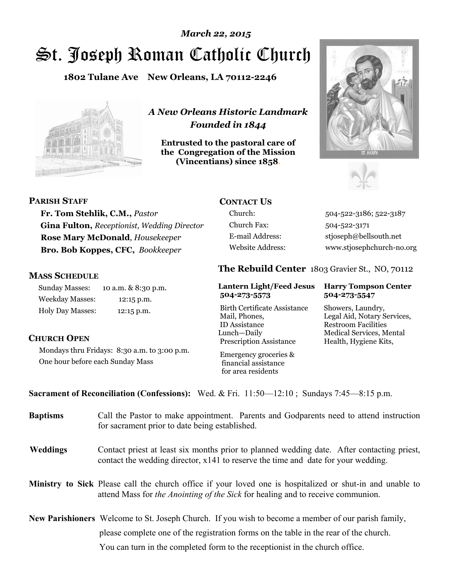# St. Joseph Roman Catholic Church *March 22, 2015*

**1802 Tulane Ave New Orleans, LA 70112-2246**



*A New Orleans Historic Landmark Founded in 1844* 

**Entrusted to the pastoral care of the Congregation of the Mission (Vincentians) since 1858**.





#### **PARISH STAFF**

**Fr. Tom Stehlik, C.M.,** *Pastor*  **Gina Fulton,** *Receptionist, Wedding Director* **Rose Mary McDonald**, *Housekeeper*  **Bro. Bob Koppes, CFC,** *Bookkeeper* 

#### **MASS SCHEDULE**

Sunday Masses: 10 a.m. & 8:30 p.m. Weekday Masses: 12:15 p.m. Holy Day Masses: 12:15 p.m.

# **CONTACT US**

Church Fax: 504-522-3171

Church: 504-522-3186; 522-3187 E-mail Address: stjoseph@bellsouth.net Website Address: www.stjosephchurch-no.org

### **The Rebuild Center** 1803 Gravier St., NO, 70112

#### **Lantern Light/Feed Jesus Harry Tompson Center 504-273-5573 504-273-5547**

Birth Certificate Assistance Showers, Laundry, Mail, Phones, Legal Aid, Notary Services, ID Assistance Restroom Facilities Lunch—Daily Medical Services, Mental Prescription Assistance Health, Hygiene Kits,

#### **CHURCH OPEN**

Mondays thru Fridays: 8:30 a.m. to 3:00 p.m. One hour before each Sunday Mass

 Emergency groceries & financial assistance for area residents

#### **Sacrament of Reconciliation (Confessions):** Wed. & Fri. 11:50—12:10 ; Sundays 7:45—8:15 p.m.

| <b>Baptisms</b> | Call the Pastor to make appointment. Parents and Godparents need to attend instruction<br>for sacrament prior to date being established.                                                                   |
|-----------------|------------------------------------------------------------------------------------------------------------------------------------------------------------------------------------------------------------|
| <b>Weddings</b> | Contact priest at least six months prior to planned wedding date. After contacting priest,<br>contact the wedding director, $x141$ to reserve the time and date for your wedding.                          |
|                 | <b>Ministry to Sick</b> Please call the church office if your loved one is hospitalized or shut-in and unable to<br>attend Mass for <i>the Anointing of the Sick</i> for healing and to receive communion. |
|                 | <b>New Parishioners</b> Welcome to St. Joseph Church. If you wish to become a member of our parish family,                                                                                                 |
|                 | please complete one of the registration forms on the table in the rear of the church.                                                                                                                      |
|                 | You can turn in the completed form to the reception is the church office.                                                                                                                                  |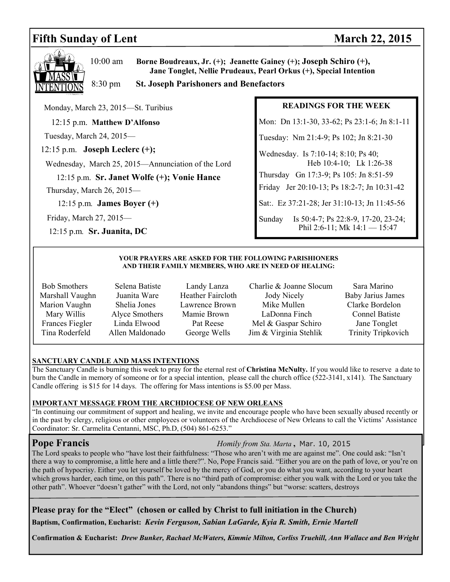# **Fifth Sunday of Lent** March 22, 2015



10:00 am **Borne Boudreaux, Jr. (+); Jeanette Gainey (+); Joseph Schiro (+), Jane Tonglet, Nellie Prudeaux, Pearl Orkus (+), Special Intention** 

8:30 pm **St. Joseph Parishoners and Benefactors**

Monday, March 23, 2015—St. Turibius

12:15 p.m. **Matthew D'Alfonso** 

Tuesday, March 24, 2015—

12:15 p.m. **Joseph Leclerc (+);** 

Wednesday, March 25, 2015—Annunciation of the Lord

12:15 p.m. **Sr. Janet Wolfe (+); Vonie Hance** 

Thursday, March 26, 2015—

12:15 p.m*.* **James Boyer (+)**

Friday, March 27, 2015—

12:15 p.m*.* **Sr. Juanita, DC** 

#### **READINGS FOR THE WEEK**

Mon: Dn 13:1-30, 33-62; Ps 23:1-6; Jn 8:1-11

Tuesday: Nm 21:4-9; Ps 102; Jn 8:21-30

Wednesday. Is 7:10-14; 8:10; Ps 40; Heb 10:4-10; Lk 1:26-38

Thursday Gn 17:3-9; Ps 105: Jn 8:51-59

Friday Jer 20:10-13; Ps 18:2-7; Jn 10:31-42

Sat:. Ez 37:21-28; Jer 31:10-13; Jn 11:45-56

Sunday Is 50:4-7; Ps 22:8-9, 17-20, 23-24; Phil 2:6-11; Mk 14:1 - 15:47

#### **YOUR PRAYERS ARE ASKED FOR THE FOLLOWING PARISHIONERS AND THEIR FAMILY MEMBERS, WHO ARE IN NEED OF HEALING:**

- 
- 
- 
- Bob Smothers Selena Batiste Landy Lanza Charlie & Joanne Slocum Sara Marino Marshall Vaughn Juanita Ware Heather Faircloth Jody Nicely Baby Jarius James Marion Vaughn Shelia Jones Lawrence Brown Mike Mullen Clarke Bordelon Mary Willis Alyce Smothers Mamie Brown LaDonna Finch Connel Batiste Frances Fiegler Linda Elwood Pat Reese Mel & Gaspar Schiro Jane Tonglet Tina Roderfeld Allen Maldonado George Wells Jim & Virginia Stehlik Trinity Tripkovich
	-

#### **SANCTUARY CANDLE AND MASS INTENTIONS**

The Sanctuary Candle is burning this week to pray for the eternal rest of **Christina McNulty.** If you would like to reserve a date to burn the Candle in memory of someone or for a special intention, please call the church office (522-3141, x141). The Sanctuary Candle offering is \$15 for 14 days. The offering for Mass intentions is \$5.00 per Mass.

#### **IMPORTANT MESSAGE FROM THE ARCHDIOCESE OF NEW ORLEANS**

"In continuing our commitment of support and healing, we invite and encourage people who have been sexually abused recently or in the past by clergy, religious or other employees or volunteers of the Archdiocese of New Orleans to call the Victims' Assistance Coordinator: Sr. Carmelita Centanni, MSC, Ph.D, (504) 861-6253."

**Pope Francis** *Homily from Sta. Marta* **,** Mar. 10, 2015

The Lord speaks to people who "have lost their faithfulness: "Those who aren't with me are against me". One could ask: "Isn't there a way to compromise, a little here and a little there?". No, Pope Francis said. "Either you are on the path of love, or you're on the path of hypocrisy. Either you let yourself be loved by the mercy of God, or you do what you want, according to your heart which grows harder, each time, on this path". There is no "third path of compromise: either you walk with the Lord or you take the other path". Whoever "doesn't gather" with the Lord, not only "abandons things" but "worse: scatters, destroys

**Please pray for the "Elect" (chosen or called by Christ to full initiation in the Church)** 

**Baptism, Confirmation, Eucharist:** *Kevin Ferguson, Sabian LaGarde, Kyia R. Smith, Ernie Martell*

**Confirmation & Eucharist:** *Drew Bunker, Rachael McWaters, Kimmie Milton, Corliss Truehill, Ann Wallace and Ben Wright*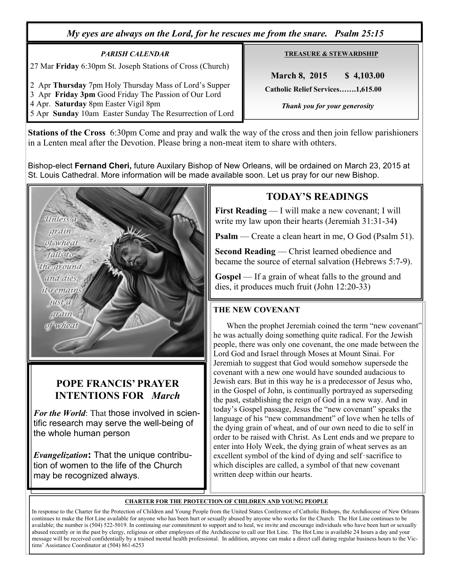*My eyes are always on the Lord, for he rescues me from the snare. Psalm 25:15* 

*PARISH CALENDAR*  27 Mar **Friday** 6:30pm St. Joseph Stations of Cross (Church)

2 Apr **Thursday** 7pm Holy Thursday Mass of Lord's Supper 3 Apr **Friday 3pm** Good Friday The Passion of Our Lord

4 Apr. **Saturday** 8pm Easter Vigil 8pm

5 Apr **Sunday** 10am Easter Sunday The Resurrection of Lord

**TREASURE & STEWARDSHIP**

 **March 8, 2015 \$ 4,103.00 Catholic Relief Services…….1,615.00** 

 *Thank you for your generosity* 

**Stations of the Cross** 6:30pm Come and pray and walk the way of the cross and then join fellow parishioners in a Lenten meal after the Devotion. Please bring a non-meat item to share with othters.

Bishop-elect **Fernand Cheri,** future Auxilary Bishop of New Orleans, will be ordained on March 23, 2015 at St. Louis Cathedral. More information will be made available soon. Let us pray for our new Bishop.



# **POPE FRANCIS' PRAYER INTENTIONS FOR** *March*

*For the World*: That those involved in scientific research may serve the well-being of the whole human person

*Evangelization***:** That the unique contribution of women to the life of the Church may be recognized always.

# **TODAY'S READINGS**

**First Reading** — I will make a new covenant; I will write my law upon their hearts (Jeremiah 31:31-34**)** 

**Psalm** — Create a clean heart in me, O God (Psalm 51).

**Second Reading** — Christ learned obedience and became the source of eternal salvation (Hebrews 5:7-9).

**Gospel** — If a grain of wheat falls to the ground and dies, it produces much fruit (John 12:20-33)

### **THE NEW COVENANT**

When the prophet Jeremiah coined the term "new covenant" he was actually doing something quite radical. For the Jewish people, there was only one covenant, the one made between the Lord God and Israel through Moses at Mount Sinai. For Jeremiah to suggest that God would somehow supersede the covenant with a new one would have sounded audacious to Jewish ears. But in this way he is a predecessor of Jesus who, in the Gospel of John, is continually portrayed as superseding the past, establishing the reign of God in a new way. And in today's Gospel passage, Jesus the "new covenant" speaks the language of his "new commandment" of love when he tells of the dying grain of wheat, and of our own need to die to self in order to be raised with Christ. As Lent ends and we prepare to enter into Holy Week, the dying grain of wheat serves as an excellent symbol of the kind of dying and self‑sacrifice to which disciples are called, a symbol of that new covenant written deep within our hearts.

#### **CHARTER FOR THE PROTECTION OF CHILDREN AND YOUNG PEOPLE**

In response to the Charter for the Protection of Children and Young People from the United States Conference of Catholic Bishops, the Archdiocese of New Orleans continues to make the Hot Line available for anyone who has been hurt or sexually abused by anyone who works for the Church. The Hot Line continues to be available; the number is (504) 522-5019. In continuing our commitment to support and to heal, we invite and encourage individuals who have been hurt or sexually abused recently or in the past by clergy, religious or other employees of the Archdiocese to call our Hot Line. The Hot Line is available 24 hours a day and your message will be received confidentially by a trained mental health professional. In addition, anyone can make a direct call during regular business hours to the Victims' Assistance Coordinator at (504) 861-6253